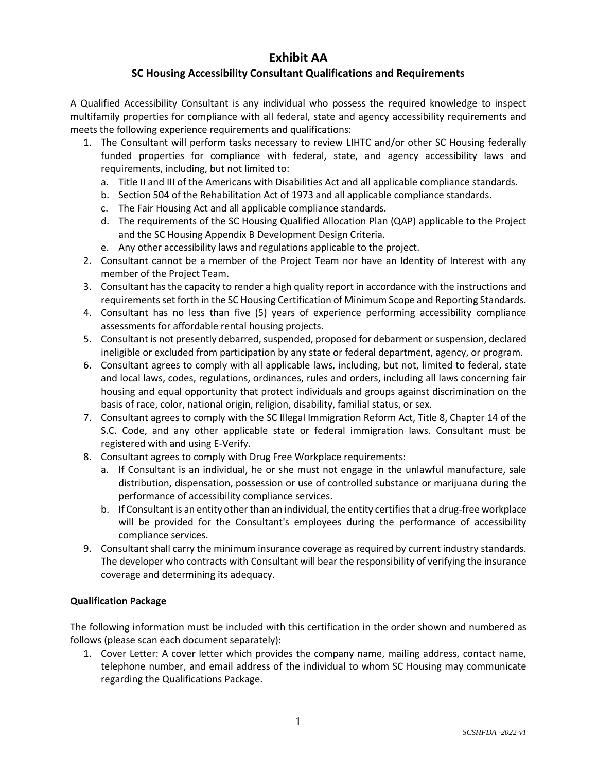# **Exhibit AA**

## **SC Housing Accessibility Consultant Qualifications and Requirements**

A Qualified Accessibility Consultant is any individual who possess the required knowledge to inspect multifamily properties for compliance with all federal, state and agency accessibility requirements and meets the following experience requirements and qualifications:

- 1. The Consultant will perform tasks necessary to review LIHTC and/or other SC Housing federally funded properties for compliance with federal, state, and agency accessibility laws and requirements, including, but not limited to:
	- a. Title II and III of the Americans with Disabilities Act and all applicable compliance standards.
	- b. Section 504 of the Rehabilitation Act of 1973 and all applicable compliance standards.
	- c. The Fair Housing Act and all applicable compliance standards.
	- d. The requirements of the SC Housing Qualified Allocation Plan (QAP) applicable to the Project and the SC Housing Appendix B Development Design Criteria.
	- e. Any other accessibility laws and regulations applicable to the project.
- 2. Consultant cannot be a member of the Project Team nor have an Identity of Interest with any member of the Project Team.
- 3. Consultant has the capacity to render a high quality report in accordance with the instructions and requirementsset forth in the SC Housing Certification of Minimum Scope and Reporting Standards.
- 4. Consultant has no less than five (5) years of experience performing accessibility compliance assessments for affordable rental housing projects.
- 5. Consultant is not presently debarred, suspended, proposed for debarment or suspension, declared ineligible or excluded from participation by any state or federal department, agency, or program.
- 6. Consultant agrees to comply with all applicable laws, including, but not, limited to federal, state and local laws, codes, regulations, ordinances, rules and orders, including all laws concerning fair housing and equal opportunity that protect individuals and groups against discrimination on the basis of race, color, national origin, religion, disability, familial status, or sex.
- 7. Consultant agrees to comply with the SC Illegal Immigration Reform Act, Title 8, Chapter 14 of the S.C. Code, and any other applicable state or federal immigration laws. Consultant must be registered with and using E-Verify.
- 8. Consultant agrees to comply with Drug Free Workplace requirements:
	- a. If Consultant is an individual, he or she must not engage in the unlawful manufacture, sale distribution, dispensation, possession or use of controlled substance or marijuana during the performance of accessibility compliance services.
	- b. If Consultant is an entity other than an individual, the entity certifies that a drug-free workplace will be provided for the Consultant's employees during the performance of accessibility compliance services.
- 9. Consultant shall carry the minimum insurance coverage as required by current industry standards. The developer who contracts with Consultant will bear the responsibility of verifying the insurance coverage and determining its adequacy.

## **Qualification Package**

The following information must be included with this certification in the order shown and numbered as follows (please scan each document separately):

1. Cover Letter: A cover letter which provides the company name, mailing address, contact name, telephone number, and email address of the individual to whom SC Housing may communicate regarding the Qualifications Package.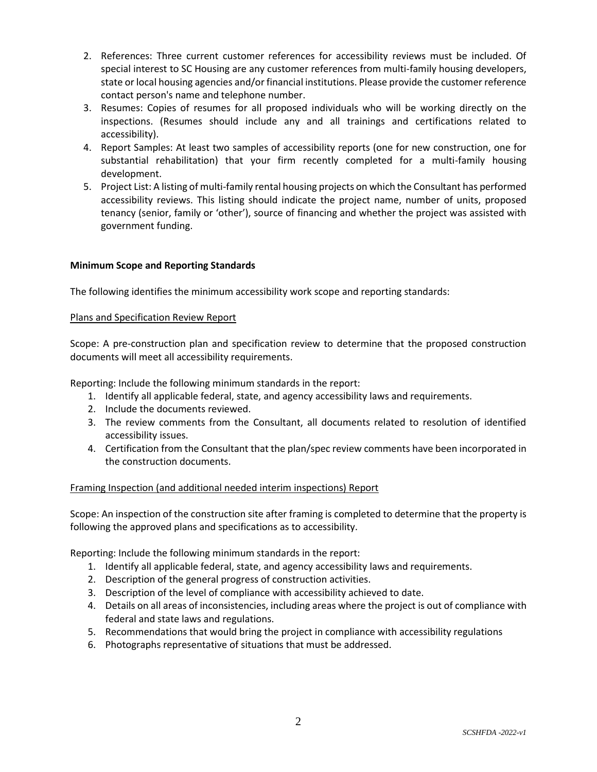- 2. References: Three current customer references for accessibility reviews must be included. Of special interest to SC Housing are any customer references from multi-family housing developers, state or local housing agencies and/or financial institutions. Please provide the customer reference contact person's name and telephone number.
- 3. Resumes: Copies of resumes for all proposed individuals who will be working directly on the inspections. (Resumes should include any and all trainings and certifications related to accessibility).
- 4. Report Samples: At least two samples of accessibility reports (one for new construction, one for substantial rehabilitation) that your firm recently completed for a multi-family housing development.
- 5. Project List: A listing of multi-family rental housing projects on which the Consultant has performed accessibility reviews. This listing should indicate the project name, number of units, proposed tenancy (senior, family or 'other'), source of financing and whether the project was assisted with government funding.

### **Minimum Scope and Reporting Standards**

The following identifies the minimum accessibility work scope and reporting standards:

### Plans and Specification Review Report

Scope: A pre-construction plan and specification review to determine that the proposed construction documents will meet all accessibility requirements.

Reporting: Include the following minimum standards in the report:

- 1. Identify all applicable federal, state, and agency accessibility laws and requirements.
- 2. Include the documents reviewed.
- 3. The review comments from the Consultant, all documents related to resolution of identified accessibility issues.
- 4. Certification from the Consultant that the plan/spec review comments have been incorporated in the construction documents.

### Framing Inspection (and additional needed interim inspections) Report

Scope: An inspection of the construction site after framing is completed to determine that the property is following the approved plans and specifications as to accessibility.

Reporting: Include the following minimum standards in the report:

- 1. Identify all applicable federal, state, and agency accessibility laws and requirements.
- 2. Description of the general progress of construction activities.
- 3. Description of the level of compliance with accessibility achieved to date.
- 4. Details on all areas of inconsistencies, including areas where the project is out of compliance with federal and state laws and regulations.
- 5. Recommendations that would bring the project in compliance with accessibility regulations
- 6. Photographs representative of situations that must be addressed.